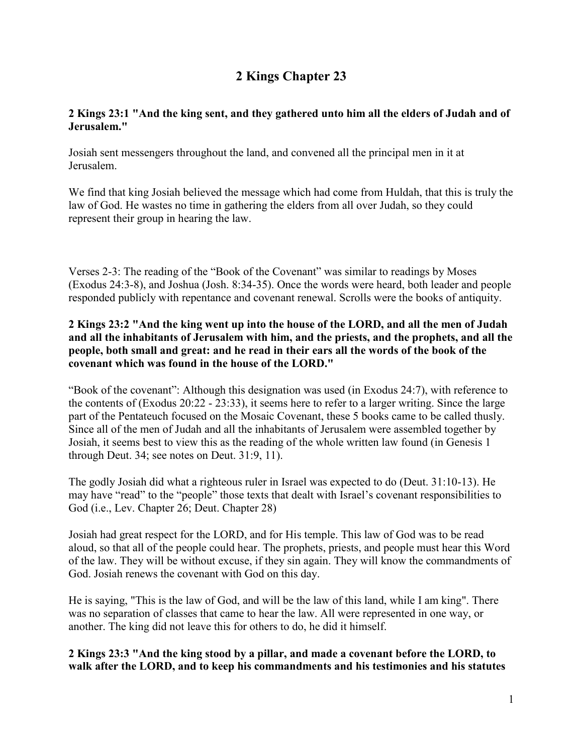# **2 Kings Chapter 23**

# **2 Kings 23:1 "And the king sent, and they gathered unto him all the elders of Judah and of Jerusalem."**

Josiah sent messengers throughout the land, and convened all the principal men in it at Jerusalem.

We find that king Josiah believed the message which had come from Huldah, that this is truly the law of God. He wastes no time in gathering the elders from all over Judah, so they could represent their group in hearing the law.

Verses 2-3: The reading of the "Book of the Covenant" was similar to readings by Moses (Exodus 24:3-8), and Joshua (Josh. 8:34-35). Once the words were heard, both leader and people responded publicly with repentance and covenant renewal. Scrolls were the books of antiquity.

### **2 Kings 23:2 "And the king went up into the house of the LORD, and all the men of Judah and all the inhabitants of Jerusalem with him, and the priests, and the prophets, and all the people, both small and great: and he read in their ears all the words of the book of the covenant which was found in the house of the LORD."**

"Book of the covenant": Although this designation was used (in Exodus 24:7), with reference to the contents of (Exodus 20:22 - 23:33), it seems here to refer to a larger writing. Since the large part of the Pentateuch focused on the Mosaic Covenant, these 5 books came to be called thusly. Since all of the men of Judah and all the inhabitants of Jerusalem were assembled together by Josiah, it seems best to view this as the reading of the whole written law found (in Genesis 1 through Deut. 34; see notes on Deut. 31:9, 11).

The godly Josiah did what a righteous ruler in Israel was expected to do (Deut. 31:10-13). He may have "read" to the "people" those texts that dealt with Israel's covenant responsibilities to God (i.e., Lev. Chapter 26; Deut. Chapter 28)

Josiah had great respect for the LORD, and for His temple. This law of God was to be read aloud, so that all of the people could hear. The prophets, priests, and people must hear this Word of the law. They will be without excuse, if they sin again. They will know the commandments of God. Josiah renews the covenant with God on this day.

He is saying, "This is the law of God, and will be the law of this land, while I am king". There was no separation of classes that came to hear the law. All were represented in one way, or another. The king did not leave this for others to do, he did it himself.

**2 Kings 23:3 "And the king stood by a pillar, and made a covenant before the LORD, to walk after the LORD, and to keep his commandments and his testimonies and his statutes**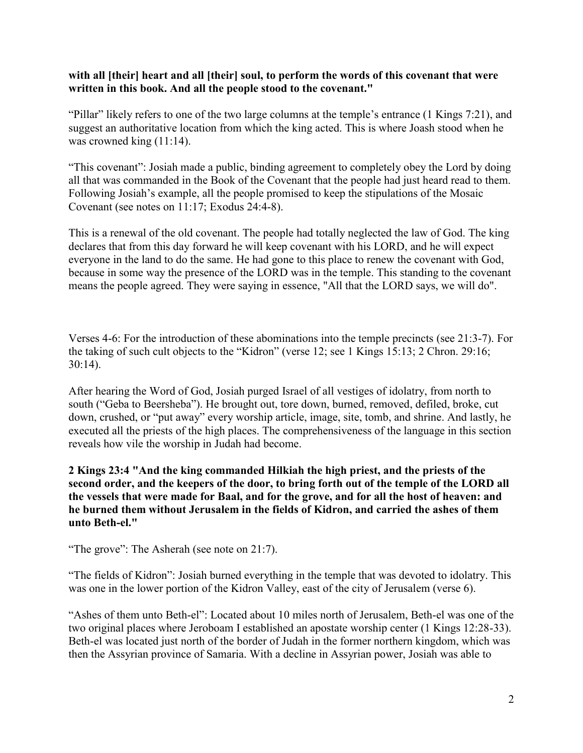### **with all [their] heart and all [their] soul, to perform the words of this covenant that were written in this book. And all the people stood to the covenant."**

"Pillar" likely refers to one of the two large columns at the temple's entrance (1 Kings 7:21), and suggest an authoritative location from which the king acted. This is where Joash stood when he was crowned king  $(11:14)$ .

"This covenant": Josiah made a public, binding agreement to completely obey the Lord by doing all that was commanded in the Book of the Covenant that the people had just heard read to them. Following Josiah's example, all the people promised to keep the stipulations of the Mosaic Covenant (see notes on 11:17; Exodus 24:4-8).

This is a renewal of the old covenant. The people had totally neglected the law of God. The king declares that from this day forward he will keep covenant with his LORD, and he will expect everyone in the land to do the same. He had gone to this place to renew the covenant with God, because in some way the presence of the LORD was in the temple. This standing to the covenant means the people agreed. They were saying in essence, "All that the LORD says, we will do".

Verses 4-6: For the introduction of these abominations into the temple precincts (see 21:3-7). For the taking of such cult objects to the "Kidron" (verse 12; see 1 Kings 15:13; 2 Chron. 29:16; 30:14).

After hearing the Word of God, Josiah purged Israel of all vestiges of idolatry, from north to south ("Geba to Beersheba"). He brought out, tore down, burned, removed, defiled, broke, cut down, crushed, or "put away" every worship article, image, site, tomb, and shrine. And lastly, he executed all the priests of the high places. The comprehensiveness of the language in this section reveals how vile the worship in Judah had become.

**2 Kings 23:4 "And the king commanded Hilkiah the high priest, and the priests of the second order, and the keepers of the door, to bring forth out of the temple of the LORD all the vessels that were made for Baal, and for the grove, and for all the host of heaven: and he burned them without Jerusalem in the fields of Kidron, and carried the ashes of them unto Beth-el."**

"The grove": The Asherah (see note on 21:7).

"The fields of Kidron": Josiah burned everything in the temple that was devoted to idolatry. This was one in the lower portion of the Kidron Valley, east of the city of Jerusalem (verse 6).

"Ashes of them unto Beth-el": Located about 10 miles north of Jerusalem, Beth-el was one of the two original places where Jeroboam I established an apostate worship center (1 Kings 12:28-33). Beth-el was located just north of the border of Judah in the former northern kingdom, which was then the Assyrian province of Samaria. With a decline in Assyrian power, Josiah was able to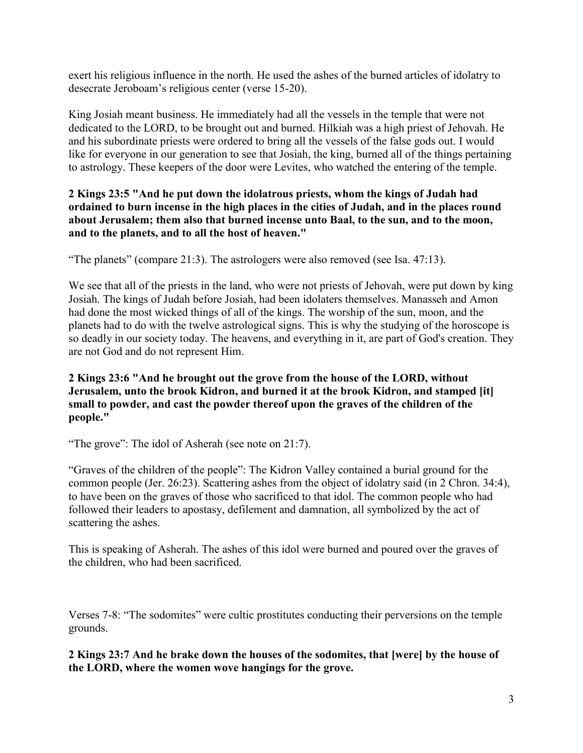exert his religious influence in the north. He used the ashes of the burned articles of idolatry to desecrate Jeroboam's religious center (verse 15-20).

King Josiah meant business. He immediately had all the vessels in the temple that were not dedicated to the LORD, to be brought out and burned. Hilkiah was a high priest of Jehovah. He and his subordinate priests were ordered to bring all the vessels of the false gods out. I would like for everyone in our generation to see that Josiah, the king, burned all of the things pertaining to astrology. These keepers of the door were Levites, who watched the entering of the temple.

### **2 Kings 23:5 "And he put down the idolatrous priests, whom the kings of Judah had ordained to burn incense in the high places in the cities of Judah, and in the places round about Jerusalem; them also that burned incense unto Baal, to the sun, and to the moon, and to the planets, and to all the host of heaven."**

"The planets" (compare 21:3). The astrologers were also removed (see Isa. 47:13).

We see that all of the priests in the land, who were not priests of Jehovah, were put down by king Josiah. The kings of Judah before Josiah, had been idolaters themselves. Manasseh and Amon had done the most wicked things of all of the kings. The worship of the sun, moon, and the planets had to do with the twelve astrological signs. This is why the studying of the horoscope is so deadly in our society today. The heavens, and everything in it, are part of God's creation. They are not God and do not represent Him.

## **2 Kings 23:6 "And he brought out the grove from the house of the LORD, without Jerusalem, unto the brook Kidron, and burned it at the brook Kidron, and stamped [it] small to powder, and cast the powder thereof upon the graves of the children of the people."**

"The grove": The idol of Asherah (see note on 21:7).

"Graves of the children of the people": The Kidron Valley contained a burial ground for the common people (Jer. 26:23). Scattering ashes from the object of idolatry said (in 2 Chron. 34:4), to have been on the graves of those who sacrificed to that idol. The common people who had followed their leaders to apostasy, defilement and damnation, all symbolized by the act of scattering the ashes.

This is speaking of Asherah. The ashes of this idol were burned and poured over the graves of the children, who had been sacrificed.

Verses 7-8: "The sodomites" were cultic prostitutes conducting their perversions on the temple grounds.

**2 Kings 23:7 And he brake down the houses of the sodomites, that [were] by the house of the LORD, where the women wove hangings for the grove.**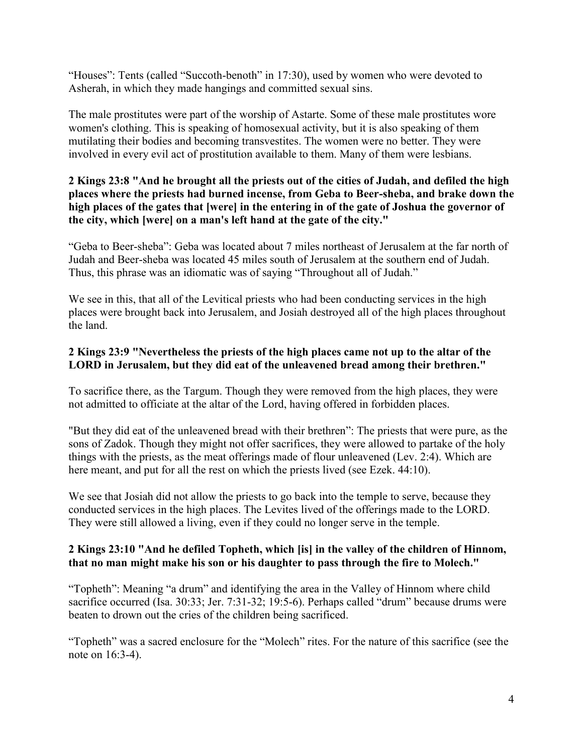"Houses": Tents (called "Succoth-benoth" in 17:30), used by women who were devoted to Asherah, in which they made hangings and committed sexual sins.

The male prostitutes were part of the worship of Astarte. Some of these male prostitutes wore women's clothing. This is speaking of homosexual activity, but it is also speaking of them mutilating their bodies and becoming transvestites. The women were no better. They were involved in every evil act of prostitution available to them. Many of them were lesbians.

### **2 Kings 23:8 "And he brought all the priests out of the cities of Judah, and defiled the high places where the priests had burned incense, from Geba to Beer-sheba, and brake down the high places of the gates that [were] in the entering in of the gate of Joshua the governor of the city, which [were] on a man's left hand at the gate of the city."**

"Geba to Beer-sheba": Geba was located about 7 miles northeast of Jerusalem at the far north of Judah and Beer-sheba was located 45 miles south of Jerusalem at the southern end of Judah. Thus, this phrase was an idiomatic was of saying "Throughout all of Judah."

We see in this, that all of the Levitical priests who had been conducting services in the high places were brought back into Jerusalem, and Josiah destroyed all of the high places throughout the land.

## **2 Kings 23:9 "Nevertheless the priests of the high places came not up to the altar of the LORD in Jerusalem, but they did eat of the unleavened bread among their brethren."**

To sacrifice there, as the Targum. Though they were removed from the high places, they were not admitted to officiate at the altar of the Lord, having offered in forbidden places.

"But they did eat of the unleavened bread with their brethren": The priests that were pure, as the sons of Zadok. Though they might not offer sacrifices, they were allowed to partake of the holy things with the priests, as the meat offerings made of flour unleavened (Lev. 2:4). Which are here meant, and put for all the rest on which the priests lived (see Ezek. 44:10).

We see that Josiah did not allow the priests to go back into the temple to serve, because they conducted services in the high places. The Levites lived of the offerings made to the LORD. They were still allowed a living, even if they could no longer serve in the temple.

### **2 Kings 23:10 "And he defiled Topheth, which [is] in the valley of the children of Hinnom, that no man might make his son or his daughter to pass through the fire to Molech."**

"Topheth": Meaning "a drum" and identifying the area in the Valley of Hinnom where child sacrifice occurred (Isa. 30:33; Jer. 7:31-32; 19:5-6). Perhaps called "drum" because drums were beaten to drown out the cries of the children being sacrificed.

"Topheth" was a sacred enclosure for the "Molech" rites. For the nature of this sacrifice (see the note on 16:3-4).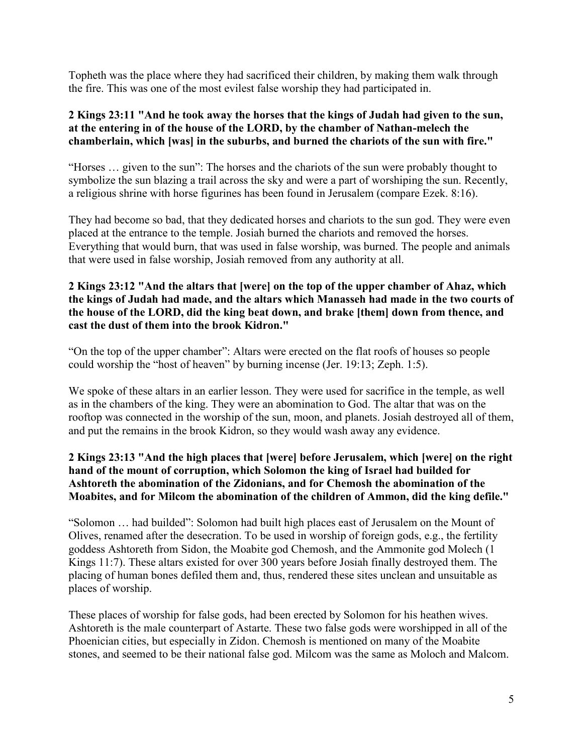Topheth was the place where they had sacrificed their children, by making them walk through the fire. This was one of the most evilest false worship they had participated in.

### **2 Kings 23:11 "And he took away the horses that the kings of Judah had given to the sun, at the entering in of the house of the LORD, by the chamber of Nathan-melech the chamberlain, which [was] in the suburbs, and burned the chariots of the sun with fire."**

"Horses … given to the sun": The horses and the chariots of the sun were probably thought to symbolize the sun blazing a trail across the sky and were a part of worshiping the sun. Recently, a religious shrine with horse figurines has been found in Jerusalem (compare Ezek. 8:16).

They had become so bad, that they dedicated horses and chariots to the sun god. They were even placed at the entrance to the temple. Josiah burned the chariots and removed the horses. Everything that would burn, that was used in false worship, was burned. The people and animals that were used in false worship, Josiah removed from any authority at all.

# **2 Kings 23:12 "And the altars that [were] on the top of the upper chamber of Ahaz, which the kings of Judah had made, and the altars which Manasseh had made in the two courts of the house of the LORD, did the king beat down, and brake [them] down from thence, and cast the dust of them into the brook Kidron."**

"On the top of the upper chamber": Altars were erected on the flat roofs of houses so people could worship the "host of heaven" by burning incense (Jer. 19:13; Zeph. 1:5).

We spoke of these altars in an earlier lesson. They were used for sacrifice in the temple, as well as in the chambers of the king. They were an abomination to God. The altar that was on the rooftop was connected in the worship of the sun, moon, and planets. Josiah destroyed all of them, and put the remains in the brook Kidron, so they would wash away any evidence.

## **2 Kings 23:13 "And the high places that [were] before Jerusalem, which [were] on the right hand of the mount of corruption, which Solomon the king of Israel had builded for Ashtoreth the abomination of the Zidonians, and for Chemosh the abomination of the Moabites, and for Milcom the abomination of the children of Ammon, did the king defile."**

"Solomon … had builded": Solomon had built high places east of Jerusalem on the Mount of Olives, renamed after the desecration. To be used in worship of foreign gods, e.g., the fertility goddess Ashtoreth from Sidon, the Moabite god Chemosh, and the Ammonite god Molech (1 Kings 11:7). These altars existed for over 300 years before Josiah finally destroyed them. The placing of human bones defiled them and, thus, rendered these sites unclean and unsuitable as places of worship.

These places of worship for false gods, had been erected by Solomon for his heathen wives. Ashtoreth is the male counterpart of Astarte. These two false gods were worshipped in all of the Phoenician cities, but especially in Zidon. Chemosh is mentioned on many of the Moabite stones, and seemed to be their national false god. Milcom was the same as Moloch and Malcom.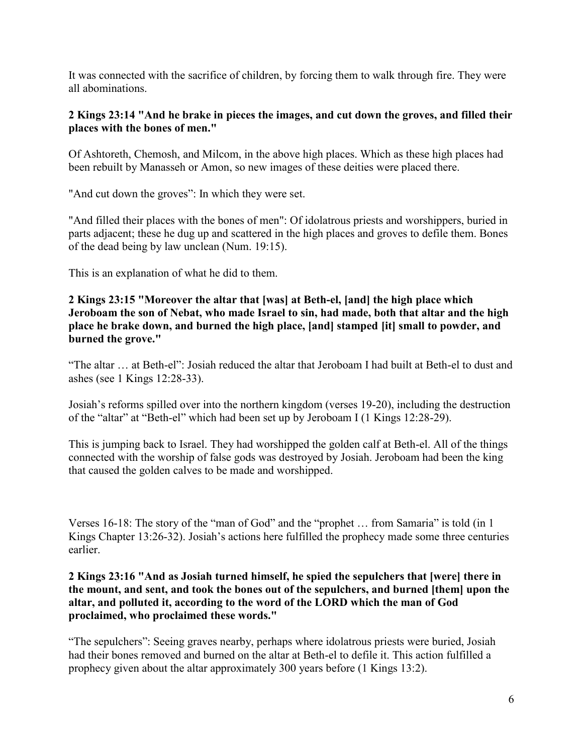It was connected with the sacrifice of children, by forcing them to walk through fire. They were all abominations.

## **2 Kings 23:14 "And he brake in pieces the images, and cut down the groves, and filled their places with the bones of men."**

Of Ashtoreth, Chemosh, and Milcom, in the above high places. Which as these high places had been rebuilt by Manasseh or Amon, so new images of these deities were placed there.

"And cut down the groves": In which they were set.

"And filled their places with the bones of men": Of idolatrous priests and worshippers, buried in parts adjacent; these he dug up and scattered in the high places and groves to defile them. Bones of the dead being by law unclean (Num. 19:15).

This is an explanation of what he did to them.

### **2 Kings 23:15 "Moreover the altar that [was] at Beth-el, [and] the high place which Jeroboam the son of Nebat, who made Israel to sin, had made, both that altar and the high place he brake down, and burned the high place, [and] stamped [it] small to powder, and burned the grove."**

"The altar … at Beth-el": Josiah reduced the altar that Jeroboam I had built at Beth-el to dust and ashes (see 1 Kings 12:28-33).

Josiah's reforms spilled over into the northern kingdom (verses 19-20), including the destruction of the "altar" at "Beth-el" which had been set up by Jeroboam I (1 Kings 12:28-29).

This is jumping back to Israel. They had worshipped the golden calf at Beth-el. All of the things connected with the worship of false gods was destroyed by Josiah. Jeroboam had been the king that caused the golden calves to be made and worshipped.

Verses 16-18: The story of the "man of God" and the "prophet … from Samaria" is told (in 1 Kings Chapter 13:26-32). Josiah's actions here fulfilled the prophecy made some three centuries earlier.

### **2 Kings 23:16 "And as Josiah turned himself, he spied the sepulchers that [were] there in the mount, and sent, and took the bones out of the sepulchers, and burned [them] upon the altar, and polluted it, according to the word of the LORD which the man of God proclaimed, who proclaimed these words."**

"The sepulchers": Seeing graves nearby, perhaps where idolatrous priests were buried, Josiah had their bones removed and burned on the altar at Beth-el to defile it. This action fulfilled a prophecy given about the altar approximately 300 years before (1 Kings 13:2).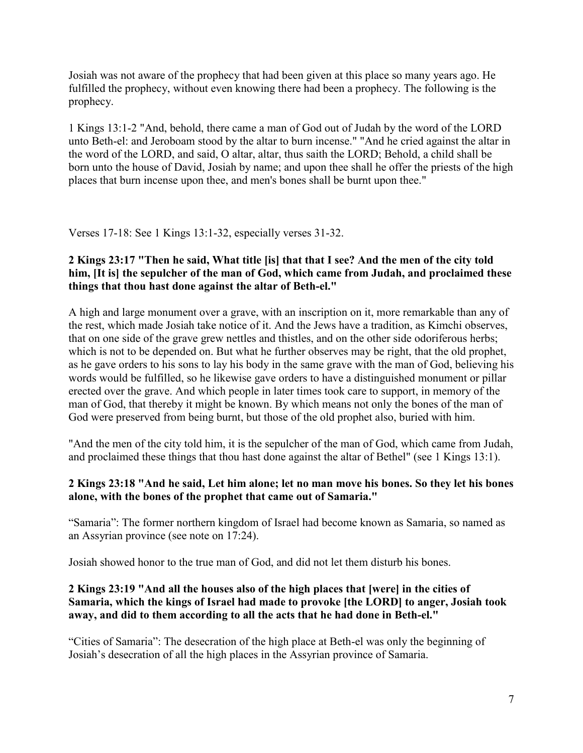Josiah was not aware of the prophecy that had been given at this place so many years ago. He fulfilled the prophecy, without even knowing there had been a prophecy. The following is the prophecy.

1 Kings 13:1-2 "And, behold, there came a man of God out of Judah by the word of the LORD unto Beth-el: and Jeroboam stood by the altar to burn incense." "And he cried against the altar in the word of the LORD, and said, O altar, altar, thus saith the LORD; Behold, a child shall be born unto the house of David, Josiah by name; and upon thee shall he offer the priests of the high places that burn incense upon thee, and men's bones shall be burnt upon thee."

Verses 17-18: See 1 Kings 13:1-32, especially verses 31-32.

### **2 Kings 23:17 "Then he said, What title [is] that that I see? And the men of the city told him, [It is] the sepulcher of the man of God, which came from Judah, and proclaimed these things that thou hast done against the altar of Beth-el."**

A high and large monument over a grave, with an inscription on it, more remarkable than any of the rest, which made Josiah take notice of it. And the Jews have a tradition, as Kimchi observes, that on one side of the grave grew nettles and thistles, and on the other side odoriferous herbs; which is not to be depended on. But what he further observes may be right, that the old prophet, as he gave orders to his sons to lay his body in the same grave with the man of God, believing his words would be fulfilled, so he likewise gave orders to have a distinguished monument or pillar erected over the grave. And which people in later times took care to support, in memory of the man of God, that thereby it might be known. By which means not only the bones of the man of God were preserved from being burnt, but those of the old prophet also, buried with him.

"And the men of the city told him, it is the sepulcher of the man of God, which came from Judah, and proclaimed these things that thou hast done against the altar of Bethel" (see 1 Kings 13:1).

## **2 Kings 23:18 "And he said, Let him alone; let no man move his bones. So they let his bones alone, with the bones of the prophet that came out of Samaria."**

"Samaria": The former northern kingdom of Israel had become known as Samaria, so named as an Assyrian province (see note on 17:24).

Josiah showed honor to the true man of God, and did not let them disturb his bones.

## **2 Kings 23:19 "And all the houses also of the high places that [were] in the cities of Samaria, which the kings of Israel had made to provoke [the LORD] to anger, Josiah took away, and did to them according to all the acts that he had done in Beth-el."**

"Cities of Samaria": The desecration of the high place at Beth-el was only the beginning of Josiah's desecration of all the high places in the Assyrian province of Samaria.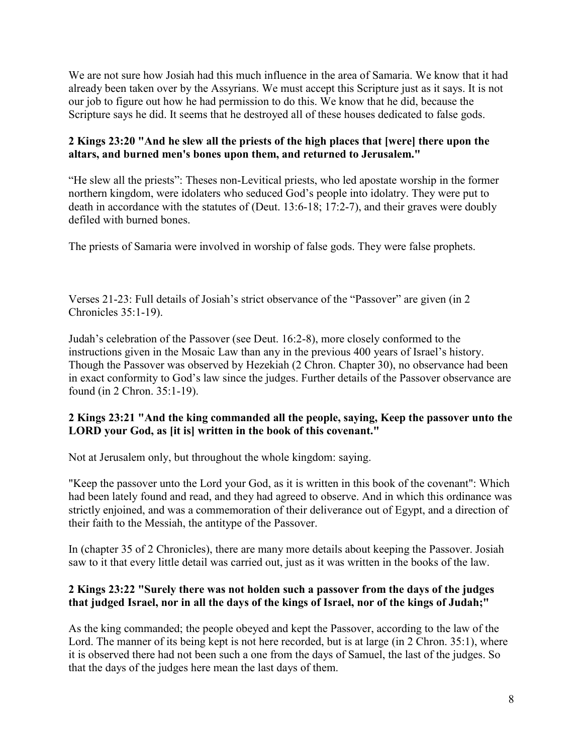We are not sure how Josiah had this much influence in the area of Samaria. We know that it had already been taken over by the Assyrians. We must accept this Scripture just as it says. It is not our job to figure out how he had permission to do this. We know that he did, because the Scripture says he did. It seems that he destroyed all of these houses dedicated to false gods.

# **2 Kings 23:20 "And he slew all the priests of the high places that [were] there upon the altars, and burned men's bones upon them, and returned to Jerusalem."**

"He slew all the priests": Theses non-Levitical priests, who led apostate worship in the former northern kingdom, were idolaters who seduced God's people into idolatry. They were put to death in accordance with the statutes of (Deut. 13:6-18; 17:2-7), and their graves were doubly defiled with burned bones.

The priests of Samaria were involved in worship of false gods. They were false prophets.

Verses 21-23: Full details of Josiah's strict observance of the "Passover" are given (in 2 Chronicles 35:1-19).

Judah's celebration of the Passover (see Deut. 16:2-8), more closely conformed to the instructions given in the Mosaic Law than any in the previous 400 years of Israel's history. Though the Passover was observed by Hezekiah (2 Chron. Chapter 30), no observance had been in exact conformity to God's law since the judges. Further details of the Passover observance are found (in 2 Chron. 35:1-19).

# **2 Kings 23:21 "And the king commanded all the people, saying, Keep the passover unto the LORD your God, as [it is] written in the book of this covenant."**

Not at Jerusalem only, but throughout the whole kingdom: saying.

"Keep the passover unto the Lord your God, as it is written in this book of the covenant": Which had been lately found and read, and they had agreed to observe. And in which this ordinance was strictly enjoined, and was a commemoration of their deliverance out of Egypt, and a direction of their faith to the Messiah, the antitype of the Passover.

In (chapter 35 of 2 Chronicles), there are many more details about keeping the Passover. Josiah saw to it that every little detail was carried out, just as it was written in the books of the law.

# **2 Kings 23:22 "Surely there was not holden such a passover from the days of the judges that judged Israel, nor in all the days of the kings of Israel, nor of the kings of Judah;"**

As the king commanded; the people obeyed and kept the Passover, according to the law of the Lord. The manner of its being kept is not here recorded, but is at large (in 2 Chron. 35:1), where it is observed there had not been such a one from the days of Samuel, the last of the judges. So that the days of the judges here mean the last days of them.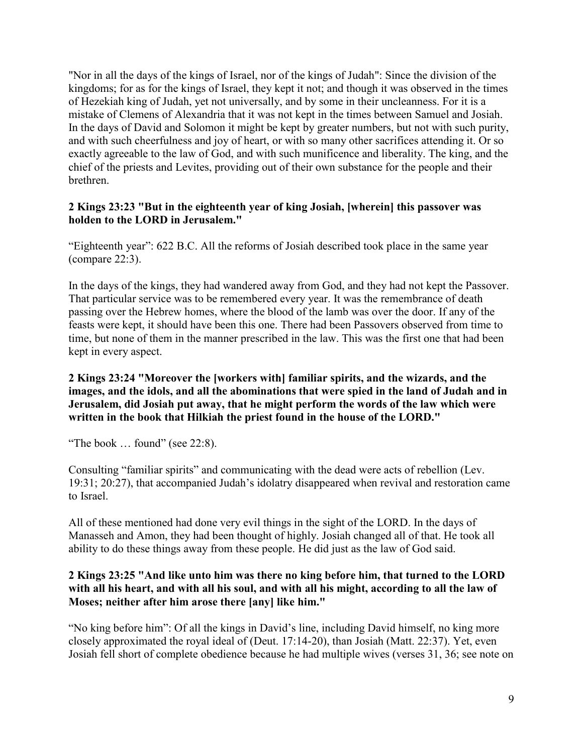"Nor in all the days of the kings of Israel, nor of the kings of Judah": Since the division of the kingdoms; for as for the kings of Israel, they kept it not; and though it was observed in the times of Hezekiah king of Judah, yet not universally, and by some in their uncleanness. For it is a mistake of Clemens of Alexandria that it was not kept in the times between Samuel and Josiah. In the days of David and Solomon it might be kept by greater numbers, but not with such purity, and with such cheerfulness and joy of heart, or with so many other sacrifices attending it. Or so exactly agreeable to the law of God, and with such munificence and liberality. The king, and the chief of the priests and Levites, providing out of their own substance for the people and their brethren.

## **2 Kings 23:23 "But in the eighteenth year of king Josiah, [wherein] this passover was holden to the LORD in Jerusalem."**

"Eighteenth year": 622 B.C. All the reforms of Josiah described took place in the same year (compare 22:3).

In the days of the kings, they had wandered away from God, and they had not kept the Passover. That particular service was to be remembered every year. It was the remembrance of death passing over the Hebrew homes, where the blood of the lamb was over the door. If any of the feasts were kept, it should have been this one. There had been Passovers observed from time to time, but none of them in the manner prescribed in the law. This was the first one that had been kept in every aspect.

### **2 Kings 23:24 "Moreover the [workers with] familiar spirits, and the wizards, and the images, and the idols, and all the abominations that were spied in the land of Judah and in Jerusalem, did Josiah put away, that he might perform the words of the law which were written in the book that Hilkiah the priest found in the house of the LORD."**

"The book … found" (see 22:8).

Consulting "familiar spirits" and communicating with the dead were acts of rebellion (Lev. 19:31; 20:27), that accompanied Judah's idolatry disappeared when revival and restoration came to Israel.

All of these mentioned had done very evil things in the sight of the LORD. In the days of Manasseh and Amon, they had been thought of highly. Josiah changed all of that. He took all ability to do these things away from these people. He did just as the law of God said.

## **2 Kings 23:25 "And like unto him was there no king before him, that turned to the LORD with all his heart, and with all his soul, and with all his might, according to all the law of Moses; neither after him arose there [any] like him."**

"No king before him": Of all the kings in David's line, including David himself, no king more closely approximated the royal ideal of (Deut. 17:14-20), than Josiah (Matt. 22:37). Yet, even Josiah fell short of complete obedience because he had multiple wives (verses 31, 36; see note on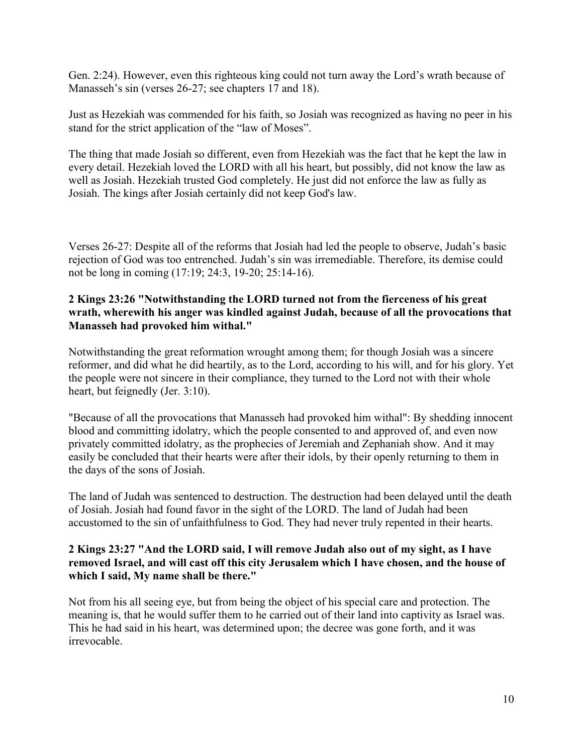Gen. 2:24). However, even this righteous king could not turn away the Lord's wrath because of Manasseh's sin (verses 26-27; see chapters 17 and 18).

Just as Hezekiah was commended for his faith, so Josiah was recognized as having no peer in his stand for the strict application of the "law of Moses".

The thing that made Josiah so different, even from Hezekiah was the fact that he kept the law in every detail. Hezekiah loved the LORD with all his heart, but possibly, did not know the law as well as Josiah. Hezekiah trusted God completely. He just did not enforce the law as fully as Josiah. The kings after Josiah certainly did not keep God's law.

Verses 26-27: Despite all of the reforms that Josiah had led the people to observe, Judah's basic rejection of God was too entrenched. Judah's sin was irremediable. Therefore, its demise could not be long in coming (17:19; 24:3, 19-20; 25:14-16).

### **2 Kings 23:26 "Notwithstanding the LORD turned not from the fierceness of his great wrath, wherewith his anger was kindled against Judah, because of all the provocations that Manasseh had provoked him withal."**

Notwithstanding the great reformation wrought among them; for though Josiah was a sincere reformer, and did what he did heartily, as to the Lord, according to his will, and for his glory. Yet the people were not sincere in their compliance, they turned to the Lord not with their whole heart, but feignedly (Jer. 3:10).

"Because of all the provocations that Manasseh had provoked him withal": By shedding innocent blood and committing idolatry, which the people consented to and approved of, and even now privately committed idolatry, as the prophecies of Jeremiah and Zephaniah show. And it may easily be concluded that their hearts were after their idols, by their openly returning to them in the days of the sons of Josiah.

The land of Judah was sentenced to destruction. The destruction had been delayed until the death of Josiah. Josiah had found favor in the sight of the LORD. The land of Judah had been accustomed to the sin of unfaithfulness to God. They had never truly repented in their hearts.

### **2 Kings 23:27 "And the LORD said, I will remove Judah also out of my sight, as I have removed Israel, and will cast off this city Jerusalem which I have chosen, and the house of which I said, My name shall be there."**

Not from his all seeing eye, but from being the object of his special care and protection. The meaning is, that he would suffer them to he carried out of their land into captivity as Israel was. This he had said in his heart, was determined upon; the decree was gone forth, and it was irrevocable.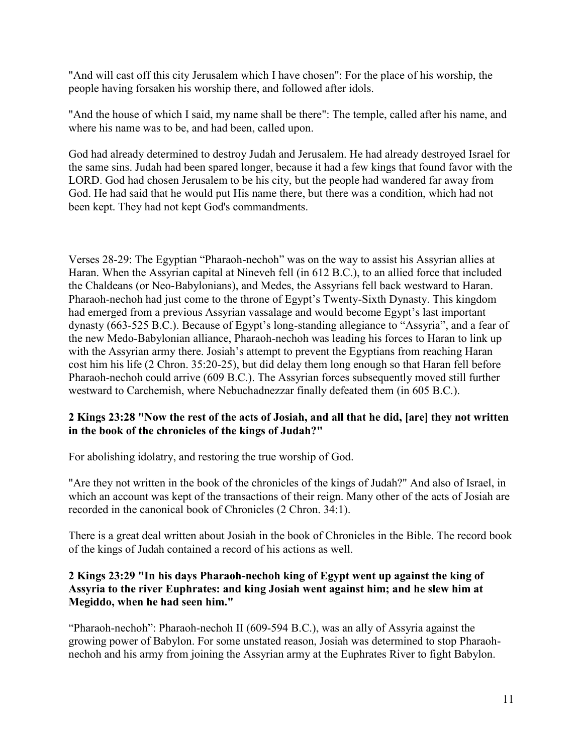"And will cast off this city Jerusalem which I have chosen": For the place of his worship, the people having forsaken his worship there, and followed after idols.

"And the house of which I said, my name shall be there": The temple, called after his name, and where his name was to be, and had been, called upon.

God had already determined to destroy Judah and Jerusalem. He had already destroyed Israel for the same sins. Judah had been spared longer, because it had a few kings that found favor with the LORD. God had chosen Jerusalem to be his city, but the people had wandered far away from God. He had said that he would put His name there, but there was a condition, which had not been kept. They had not kept God's commandments.

Verses 28-29: The Egyptian "Pharaoh-nechoh" was on the way to assist his Assyrian allies at Haran. When the Assyrian capital at Nineveh fell (in 612 B.C.), to an allied force that included the Chaldeans (or Neo-Babylonians), and Medes, the Assyrians fell back westward to Haran. Pharaoh-nechoh had just come to the throne of Egypt's Twenty-Sixth Dynasty. This kingdom had emerged from a previous Assyrian vassalage and would become Egypt's last important dynasty (663-525 B.C.). Because of Egypt's long-standing allegiance to "Assyria", and a fear of the new Medo-Babylonian alliance, Pharaoh-nechoh was leading his forces to Haran to link up with the Assyrian army there. Josiah's attempt to prevent the Egyptians from reaching Haran cost him his life (2 Chron. 35:20-25), but did delay them long enough so that Haran fell before Pharaoh-nechoh could arrive (609 B.C.). The Assyrian forces subsequently moved still further westward to Carchemish, where Nebuchadnezzar finally defeated them (in 605 B.C.).

### **2 Kings 23:28 "Now the rest of the acts of Josiah, and all that he did, [are] they not written in the book of the chronicles of the kings of Judah?"**

For abolishing idolatry, and restoring the true worship of God.

"Are they not written in the book of the chronicles of the kings of Judah?" And also of Israel, in which an account was kept of the transactions of their reign. Many other of the acts of Josiah are recorded in the canonical book of Chronicles (2 Chron. 34:1).

There is a great deal written about Josiah in the book of Chronicles in the Bible. The record book of the kings of Judah contained a record of his actions as well.

### **2 Kings 23:29 "In his days Pharaoh-nechoh king of Egypt went up against the king of Assyria to the river Euphrates: and king Josiah went against him; and he slew him at Megiddo, when he had seen him."**

"Pharaoh-nechoh": Pharaoh-nechoh II (609-594 B.C.), was an ally of Assyria against the growing power of Babylon. For some unstated reason, Josiah was determined to stop Pharaohnechoh and his army from joining the Assyrian army at the Euphrates River to fight Babylon.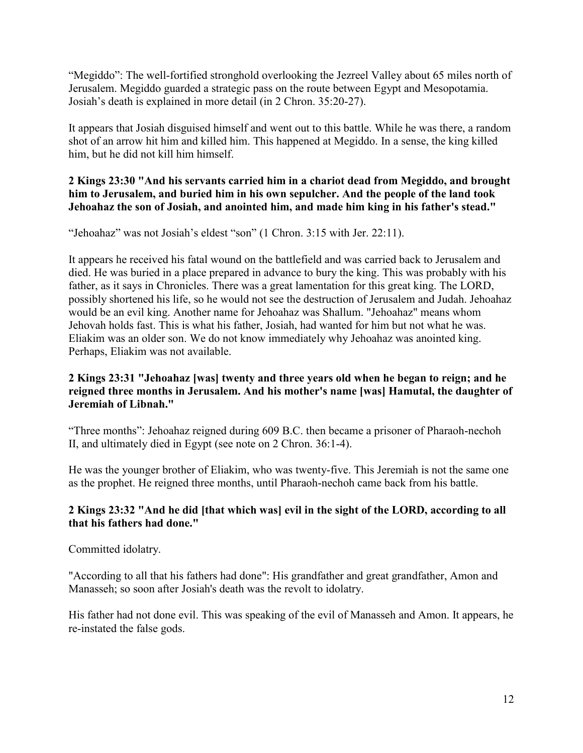"Megiddo": The well-fortified stronghold overlooking the Jezreel Valley about 65 miles north of Jerusalem. Megiddo guarded a strategic pass on the route between Egypt and Mesopotamia. Josiah's death is explained in more detail (in 2 Chron. 35:20-27).

It appears that Josiah disguised himself and went out to this battle. While he was there, a random shot of an arrow hit him and killed him. This happened at Megiddo. In a sense, the king killed him, but he did not kill him himself.

### **2 Kings 23:30 "And his servants carried him in a chariot dead from Megiddo, and brought him to Jerusalem, and buried him in his own sepulcher. And the people of the land took Jehoahaz the son of Josiah, and anointed him, and made him king in his father's stead."**

"Jehoahaz" was not Josiah's eldest "son" (1 Chron. 3:15 with Jer. 22:11).

It appears he received his fatal wound on the battlefield and was carried back to Jerusalem and died. He was buried in a place prepared in advance to bury the king. This was probably with his father, as it says in Chronicles. There was a great lamentation for this great king. The LORD, possibly shortened his life, so he would not see the destruction of Jerusalem and Judah. Jehoahaz would be an evil king. Another name for Jehoahaz was Shallum. "Jehoahaz" means whom Jehovah holds fast. This is what his father, Josiah, had wanted for him but not what he was. Eliakim was an older son. We do not know immediately why Jehoahaz was anointed king. Perhaps, Eliakim was not available.

# **2 Kings 23:31 "Jehoahaz [was] twenty and three years old when he began to reign; and he reigned three months in Jerusalem. And his mother's name [was] Hamutal, the daughter of Jeremiah of Libnah."**

"Three months": Jehoahaz reigned during 609 B.C. then became a prisoner of Pharaoh-nechoh II, and ultimately died in Egypt (see note on 2 Chron. 36:1-4).

He was the younger brother of Eliakim, who was twenty-five. This Jeremiah is not the same one as the prophet. He reigned three months, until Pharaoh-nechoh came back from his battle.

# **2 Kings 23:32 "And he did [that which was] evil in the sight of the LORD, according to all that his fathers had done."**

Committed idolatry.

"According to all that his fathers had done": His grandfather and great grandfather, Amon and Manasseh; so soon after Josiah's death was the revolt to idolatry.

His father had not done evil. This was speaking of the evil of Manasseh and Amon. It appears, he re-instated the false gods.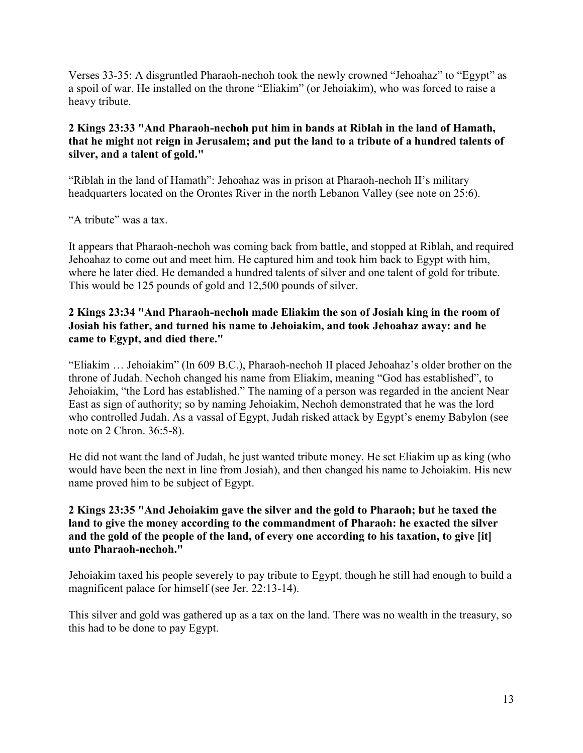Verses 33-35: A disgruntled Pharaoh-nechoh took the newly crowned "Jehoahaz" to "Egypt" as a spoil of war. He installed on the throne "Eliakim" (or Jehoiakim), who was forced to raise a heavy tribute.

# **2 Kings 23:33 "And Pharaoh-nechoh put him in bands at Riblah in the land of Hamath, that he might not reign in Jerusalem; and put the land to a tribute of a hundred talents of silver, and a talent of gold."**

"Riblah in the land of Hamath": Jehoahaz was in prison at Pharaoh-nechoh II's military headquarters located on the Orontes River in the north Lebanon Valley (see note on 25:6).

## "A tribute" was a tax.

It appears that Pharaoh-nechoh was coming back from battle, and stopped at Riblah, and required Jehoahaz to come out and meet him. He captured him and took him back to Egypt with him, where he later died. He demanded a hundred talents of silver and one talent of gold for tribute. This would be 125 pounds of gold and 12,500 pounds of silver.

### **2 Kings 23:34 "And Pharaoh-nechoh made Eliakim the son of Josiah king in the room of Josiah his father, and turned his name to Jehoiakim, and took Jehoahaz away: and he came to Egypt, and died there."**

"Eliakim … Jehoiakim" (In 609 B.C.), Pharaoh-nechoh II placed Jehoahaz's older brother on the throne of Judah. Nechoh changed his name from Eliakim, meaning "God has established", to Jehoiakim, "the Lord has established." The naming of a person was regarded in the ancient Near East as sign of authority; so by naming Jehoiakim, Nechoh demonstrated that he was the lord who controlled Judah. As a vassal of Egypt, Judah risked attack by Egypt's enemy Babylon (see note on 2 Chron. 36:5-8).

He did not want the land of Judah, he just wanted tribute money. He set Eliakim up as king (who would have been the next in line from Josiah), and then changed his name to Jehoiakim. His new name proved him to be subject of Egypt.

## **2 Kings 23:35 "And Jehoiakim gave the silver and the gold to Pharaoh; but he taxed the land to give the money according to the commandment of Pharaoh: he exacted the silver and the gold of the people of the land, of every one according to his taxation, to give [it] unto Pharaoh-nechoh."**

Jehoiakim taxed his people severely to pay tribute to Egypt, though he still had enough to build a magnificent palace for himself (see Jer. 22:13-14).

This silver and gold was gathered up as a tax on the land. There was no wealth in the treasury, so this had to be done to pay Egypt.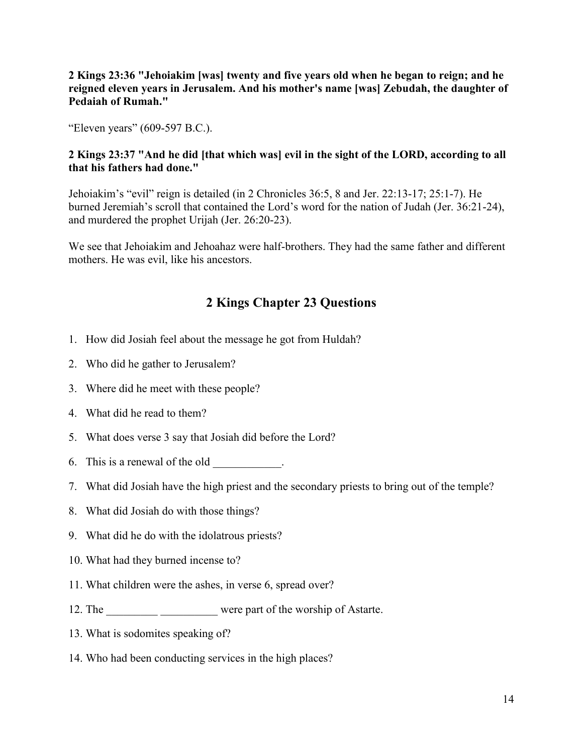**2 Kings 23:36 "Jehoiakim [was] twenty and five years old when he began to reign; and he reigned eleven years in Jerusalem. And his mother's name [was] Zebudah, the daughter of Pedaiah of Rumah."**

"Eleven years" (609-597 B.C.).

### **2 Kings 23:37 "And he did [that which was] evil in the sight of the LORD, according to all that his fathers had done."**

Jehoiakim's "evil" reign is detailed (in 2 Chronicles 36:5, 8 and Jer. 22:13-17; 25:1-7). He burned Jeremiah's scroll that contained the Lord's word for the nation of Judah (Jer. 36:21-24), and murdered the prophet Urijah (Jer. 26:20-23).

We see that Jehoiakim and Jehoahaz were half-brothers. They had the same father and different mothers. He was evil, like his ancestors.

# **2 Kings Chapter 23 Questions**

- 1. How did Josiah feel about the message he got from Huldah?
- 2. Who did he gather to Jerusalem?
- 3. Where did he meet with these people?
- 4. What did he read to them?
- 5. What does verse 3 say that Josiah did before the Lord?
- 6. This is a renewal of the old
- 7. What did Josiah have the high priest and the secondary priests to bring out of the temple?
- 8. What did Josiah do with those things?
- 9. What did he do with the idolatrous priests?
- 10. What had they burned incense to?
- 11. What children were the ashes, in verse 6, spread over?
- 12. The \_\_\_\_\_\_\_\_\_\_\_\_\_\_\_\_\_\_\_\_\_\_\_\_\_\_ were part of the worship of Astarte.
- 13. What is sodomites speaking of?
- 14. Who had been conducting services in the high places?